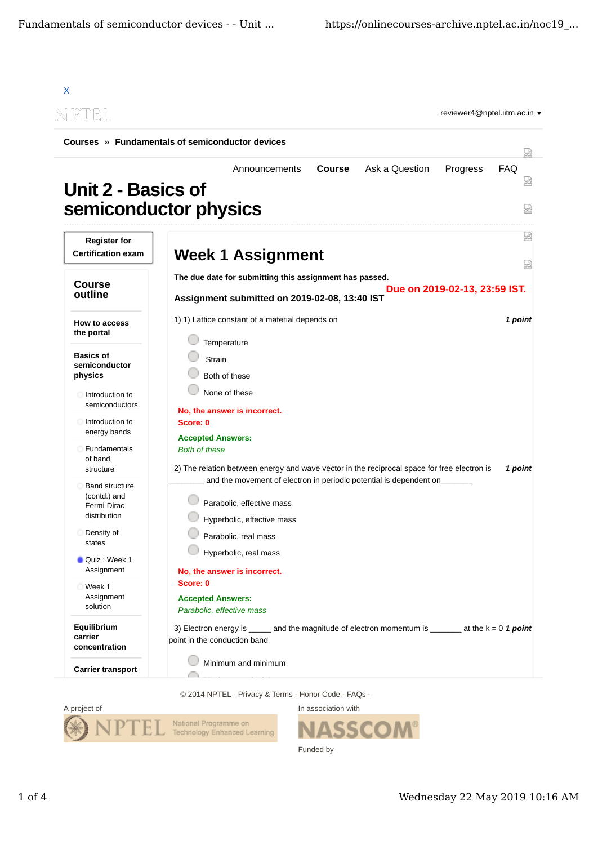| TP" IN EU.                                                           |                                                                                                                                                |                      |  |
|----------------------------------------------------------------------|------------------------------------------------------------------------------------------------------------------------------------------------|----------------------|--|
|                                                                      | Courses » Fundamentals of semiconductor devices                                                                                                | W                    |  |
| Unit 2 - Basics of                                                   | <b>Course</b><br>Ask a Question<br>Progress<br>Announcements<br>semiconductor physics                                                          | <b>FAQ</b><br>Ѩ<br>덣 |  |
| <b>Register for</b><br><b>Certification exam</b>                     | <b>Week 1 Assignment</b>                                                                                                                       | Ѩ                    |  |
| <b>Course</b><br>outline                                             | ₩<br>The due date for submitting this assignment has passed.<br>Due on 2019-02-13, 23:59 IST.<br>Assignment submitted on 2019-02-08, 13:40 IST |                      |  |
| How to access<br>the portal                                          | 1) 1) Lattice constant of a material depends on<br>Temperature                                                                                 | 1 point              |  |
| <b>Basics of</b><br>semiconductor<br>physics                         | Strain<br>Both of these                                                                                                                        |                      |  |
| Introduction to<br>semiconductors                                    | None of these<br>No, the answer is incorrect.                                                                                                  |                      |  |
| Introduction to<br>energy bands                                      | Score: 0<br><b>Accepted Answers:</b>                                                                                                           |                      |  |
| Fundamentals<br>of band<br>structure                                 | <b>Both of these</b><br>2) The relation between energy and wave vector in the reciprocal space for free electron is                            | 1 point              |  |
| <b>Band structure</b><br>(contd.) and<br>Fermi-Dirac<br>distribution | and the movement of electron in periodic potential is dependent on<br>Parabolic, effective mass<br>Hyperbolic, effective mass                  |                      |  |
| Density of<br>states                                                 | Parabolic, real mass                                                                                                                           |                      |  |
| Quiz : Week 1<br>Assignment                                          | Hyperbolic, real mass<br>No, the answer is incorrect.                                                                                          |                      |  |
| Week 1<br>Assignment<br>solution                                     | Score: 0<br><b>Accepted Answers:</b><br>Parabolic, effective mass                                                                              |                      |  |
| Equilibrium<br>carrier<br>concentration                              | 3) Electron energy is ______ and the magnitude of electron momentum is ________ at the $k = 0$ 1 point<br>point in the conduction band         |                      |  |
| <b>Carrier transport</b>                                             | Minimum and minimum                                                                                                                            |                      |  |

© 2014 NPTEL - Privacy & Terms - Honor Code - FAQs -



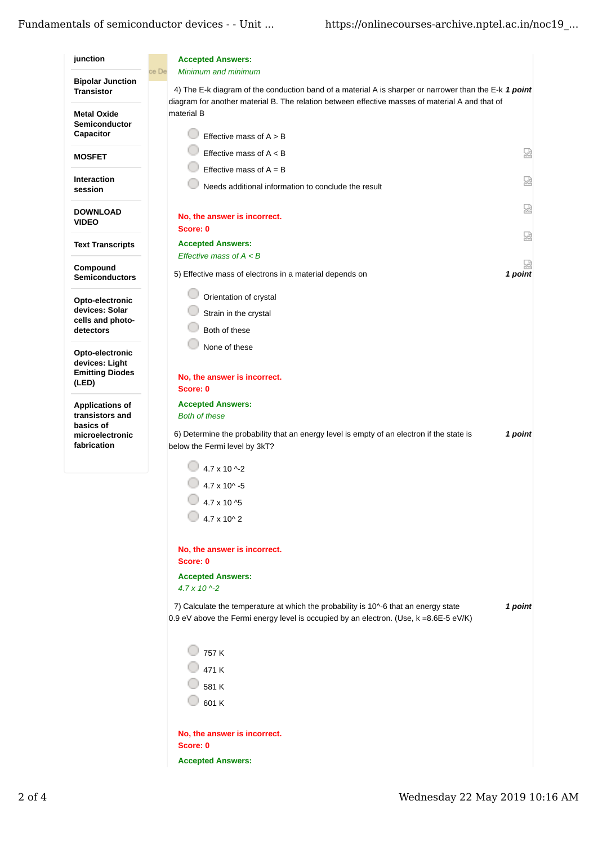## Fundamentals of semiconductor devices - - Unit ... https://onlinecourses-archive.nptel.ac.in/noc19\_...

| junction                                                             | <b>Accepted Answers:</b>                                                                                                                                                                                                                 |
|----------------------------------------------------------------------|------------------------------------------------------------------------------------------------------------------------------------------------------------------------------------------------------------------------------------------|
| <b>Bipolar Junction</b><br><b>Transistor</b>                         | ce De<br>Minimum and minimum<br>4) The E-k diagram of the conduction band of a material A is sharper or narrower than the E-k 1 point<br>diagram for another material B. The relation between effective masses of material A and that of |
| <b>Metal Oxide</b><br>Semiconductor<br>Capacitor                     | material B<br>Effective mass of $A > B$                                                                                                                                                                                                  |
| <b>MOSFET</b>                                                        | 恳<br>Effective mass of $A < B$                                                                                                                                                                                                           |
|                                                                      | Effective mass of $A = B$                                                                                                                                                                                                                |
| <b>Interaction</b><br>session                                        | 덣<br>Needs additional information to conclude the result                                                                                                                                                                                 |
| <b>DOWNLOAD</b><br><b>VIDEO</b>                                      | 닯<br>No, the answer is incorrect.<br>Score: 0                                                                                                                                                                                            |
| <b>Text Transcripts</b>                                              | 요<br><b>Accepted Answers:</b>                                                                                                                                                                                                            |
| Compound                                                             | Effective mass of $A \leq B$                                                                                                                                                                                                             |
| <b>Semiconductors</b>                                                | 1 point<br>5) Effective mass of electrons in a material depends on                                                                                                                                                                       |
| Opto-electronic<br>devices: Solar                                    | Orientation of crystal                                                                                                                                                                                                                   |
| cells and photo-                                                     | Strain in the crystal                                                                                                                                                                                                                    |
| detectors                                                            | Both of these                                                                                                                                                                                                                            |
| Opto-electronic<br>devices: Light<br><b>Emitting Diodes</b><br>(LED) | None of these<br>No, the answer is incorrect.<br>Score: 0                                                                                                                                                                                |
| <b>Applications of</b>                                               | <b>Accepted Answers:</b>                                                                                                                                                                                                                 |
| transistors and<br>basics of                                         | <b>Both of these</b>                                                                                                                                                                                                                     |
| microelectronic<br>fabrication                                       | 6) Determine the probability that an energy level is empty of an electron if the state is<br>1 point<br>below the Fermi level by 3kT?                                                                                                    |
|                                                                      | 4.7 x 10 ^-2                                                                                                                                                                                                                             |
|                                                                      | $4.7 \times 10^{4} - 5$                                                                                                                                                                                                                  |
|                                                                      | 4.7 x 10 ^5                                                                                                                                                                                                                              |
|                                                                      | $4.7 \times 10^{4}$ 2                                                                                                                                                                                                                    |
|                                                                      | No, the answer is incorrect.<br>Score: 0                                                                                                                                                                                                 |
|                                                                      | <b>Accepted Answers:</b>                                                                                                                                                                                                                 |
|                                                                      | $4.7 \times 10^{-2}$                                                                                                                                                                                                                     |
|                                                                      | 7) Calculate the temperature at which the probability is 10^-6 that an energy state<br>1 point<br>0.9 eV above the Fermi energy level is occupied by an electron. (Use, k =8.6E-5 eV/K)                                                  |
|                                                                      | 757 K<br>471 K<br>581 K<br>601K                                                                                                                                                                                                          |
|                                                                      | No, the answer is incorrect.<br>Score: 0<br><b>Accepted Answers:</b>                                                                                                                                                                     |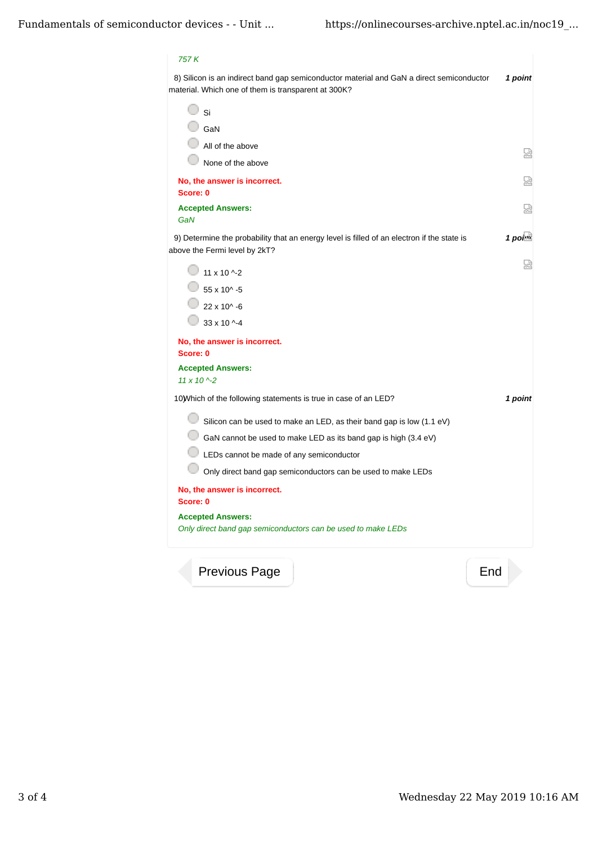## *757 K*

8) *1 point* Silicon is an indirect band gap semiconductor material and GaN a direct semiconductor material. Which one of them is transparent at 300K?

| Si                                                                                                                          |         |
|-----------------------------------------------------------------------------------------------------------------------------|---------|
| GaN                                                                                                                         |         |
| All of the above                                                                                                            | 쩑       |
| None of the above                                                                                                           |         |
| No, the answer is incorrect.<br>Score: 0                                                                                    | 쓰       |
| <b>Accepted Answers:</b><br>GaN                                                                                             | 냈       |
| 9) Determine the probability that an energy level is filled of an electron if the state is<br>above the Fermi level by 2kT? | 1 point |
| $11 \times 10$ ^-2                                                                                                          | W       |
| 55 x 10^ -5                                                                                                                 |         |
| $22 \times 10^{4} - 6$                                                                                                      |         |
| $33 \times 10$ ^-4                                                                                                          |         |
| No, the answer is incorrect.<br>Score: 0                                                                                    |         |
| <b>Accepted Answers:</b><br>$11 \times 10$ ^-2                                                                              |         |
| 10) Which of the following statements is true in case of an LED?                                                            | 1 point |
| Silicon can be used to make an LED, as their band gap is low (1.1 eV)                                                       |         |
| GaN cannot be used to make LED as its band gap is high (3.4 eV)                                                             |         |
| LEDs cannot be made of any semiconductor                                                                                    |         |
| Only direct band gap semiconductors can be used to make LEDs                                                                |         |
| No, the answer is incorrect.<br>Score: 0                                                                                    |         |
| <b>Accepted Answers:</b><br>Only direct band gap semiconductors can be used to make LEDs                                    |         |
| Previous Page                                                                                                               | End     |